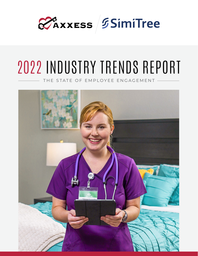

# 2022 INDUSTRY TRENDS REPORT

THE STATE OF EMPLOYEE ENGAGEMENT

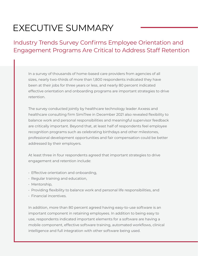# EXECUTIVE SUMMARY

Industry Trends Survey Confirms Employee Orientation and Engagement Programs Are Critical to Address Staff Retention

In a survey of thousands of home-based care providers from agencies of all sizes, nearly two-thirds of more than 1,800 respondents indicated they have been at their jobs for three years or less, and nearly 80 percent indicated effective orientation and onboarding programs are important strategies to drive retention.

The survey conducted jointly by healthcare technology leader Axxess and healthcare consulting firm SimiTree in December 2021 also revealed flexibility to balance work and personal responsibilities and meaningful supervisor feedback are critically important. Beyond that, at least half of respondents feel employee recognition programs such as celebrating birthdays and other milestones, professional development opportunities and fair compensation could be better addressed by their employers.

At least three in four respondents agreed that important strategies to drive engagement and retention include:

- Effective orientation and onboarding,
- Regular training and education,
- Mentorship,
- Providing flexibility to balance work and personal life responsibilities, and
- Financial incentives.

In addition, more than 80 percent agreed having easy-to-use software is an important component in retaining employees. In addition to being easy to use, respondents indicated important elements for a software are having a mobile component, effective software training, automated workflows, clinical intelligence and full integration with other software being used.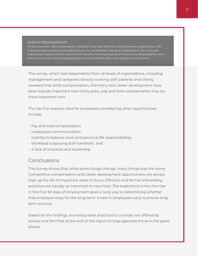#### SURVEY RESPONDENTS

Of the more than 1,800 respondents, including more than 200 from enterprise-level organizations, 73% indicated they provide home healthcare service. Nonetheless, the issues addressed in the survey are impacting all aspects of the care at home industry including hospice and home care. Respondents came from all levels and roles of organizations; two thirds provide direct care to patients and clients.

The survey, which had respondents from all levels of organizations, including management and caregivers directly working with patients and clients, revealed that while compensation, chemistry and career development have been equally important over many years, pay and total compensation may be more important now.

The top five reasons cited for employees considering other opportunities include:

- Pay and total compensation,
- Inadequate communication,
- Inability to balance work and personal life responsibilities,
- Workload outpacing staff bandwith, and
- A lack of structure and leadership.

#### Conclusions

This survey shows that while some things change, many things stay the same. Competitive compensation and career development opportunities are always high up the list of important areas to focus. Effective and formal onboarding practices are equally as important to new hires. The experience a new hire has in the first 90 days of employment goes a long way to determining whether that employee stays for the long-term. Invest in employees early to ensure longterm success.

Based on the findings, numerous best practices to consider are offered by Axxess and SimiTree at the end of this report to help agencies thrive in the years ahead.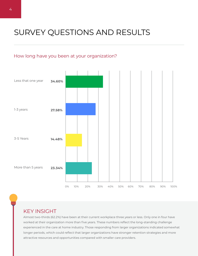# SURVEY QUESTIONS AND RESULTS

#### How long have you been at your organization?



## KEY INSIGHT

Almost two-thirds (62.2%) have been at their current workplace three years or less. Only one in four have worked at their organization more than five years. These numbers reflect the long-standing challenge experienced in the care at home industry. Those responding from larger organizations indicated somewhat longer periods, which could reflect that larger organizations have stronger retention strategies and more attractive resources and opportunities compared with smaller care providers.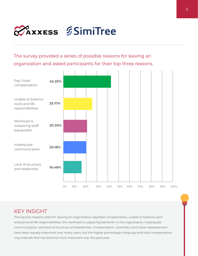

The survey provided a series of possible reasons for leaving an organization and asked participants for their top three reasons.



## KEY INSIGHT

The top five reasons cited for leaving an organization: pay/total compensation, unable to balance work and personal life responsibilities, the workload is outpacing bandwith in the organization, inadequate communication, and lack of structure and leadership. Compensation, chemistry and career development have been equally important over many years, but the higher percentage citing pay and total compensation may indicate that has become more important over the past year.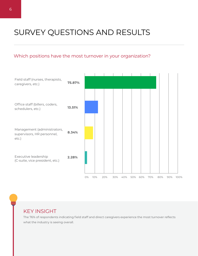# SURVEY QUESTIONS AND RESULTS

#### Which positions have the most turnover in your organization?



## KEY INSIGHT

The 76% of respondents indicating field staff and direct caregivers experience the most turnover reflects what the industry is seeing overall.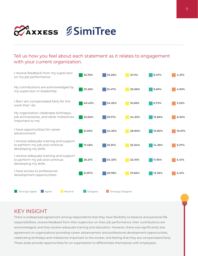

#### Tell us how you feel about each statement as it relates to engagement with your current organization.



### KEY INSIGHT

There is widespread agreement among respondents that they have flexibility to balance and personal life responsibilities, receive feedback from their supervisor on their job performance, their contributions are acknowledged, and they receive adequate training and education. However, there was significantly less agreement on organizations providing career advancement and professional development opportunities, celebrating birthdays and milestones important to the worker, and feeling that they are compensated fairly. These areas provide opportunities for an organization to differentiate themselves with employees.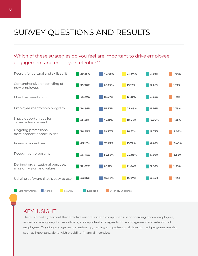# SURVEY QUESTIONS AND RESULTS

## Which of these strategies do you feel are important to drive employee engagement and employee retention?



#### KEY INSIGHT

There is broad agreement that effective orientation and comprehensive onboarding of new employees, as well as having easy to use software, are important strategies to drive engagement and retention of employees. Ongoing engagement, mentorship, training and professional development programs are also seen as important, along with providing financial incentives.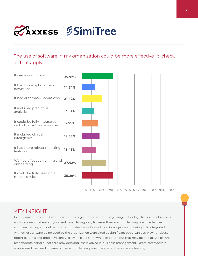

The use of software in my organization could be more effective if: (check all that apply).



## KEY INSIGHT

In a separate question, 90% indicated their organization is effectively using technology to run their business and document patient and/or client care. Having easy to use software, a mobile component, effective software training and onboarding, automated workflows, clinical intelligence and being fully integrated with other software being used by the organization were cited as significant opportunities. Having robust report features and predictive analytics were cited somewhat less often but that may be due to two of three respondents being direct care providers and less involved in business management. Direct care workers emphasized the need for ease of use, a mobile component and effective software training.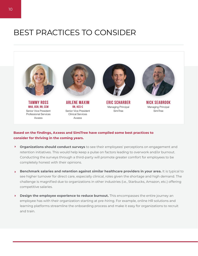# BEST PRACTICES TO CONSIDER



#### **Based on the findings, Axxess and SimiTree have compiled some best practices to consider for thriving in the coming years.**

- $\blacktriangleright$ **Organizations should conduct surveys** to see their employees' perceptions on engagement and retention initiatives. This would help keep a pulse on factors leading to overwork and/or burnout. Conducting the surveys through a third-party will promote greater comfort for employees to be completely honest with their opinions.
- 4 **Benchmark salaries and retention against similar healthcare providers in your area.** It is typical to see higher turnover for direct care, especially clinical, roles given the shortage and high demand. The challenge is magnified due to organizations in other industries (i.e., Starbucks, Amazon, etc.) offering competitive salaries.
- $\mathbf{F}$ **Design the employee experience to reduce burnout.** This encompasses the entire journey an employee has with their organization starting at pre-hiring. For example, online HR solutions and learning platforms streamline the onboarding process and make it easy for organizations to recruit and train.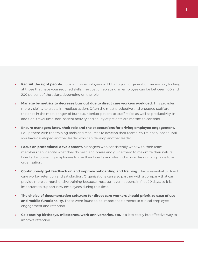- $\blacktriangleright$ **Recruit the right people.** Look at how employees will fit into your organization versus only looking at those that have your required skills. The cost of replacing an employee can be between 100 and 200 percent of the salary, depending on the role.
- $\mathbf{F}$ **Manage by metrics to decrease burnout due to direct care workers workload.** This provides more visibility to create immediate action. Often the most productive and engaged staff are the ones in the most danger of burnout. Monitor patient-to-staff ratios as well as productivity. In addition, travel time, non-patient activity and acuity of patients are metrics to consider.
- $\blacktriangleright$ **Ensure managers know their role and the expectations for driving employee engagement.**  Equip them with the training tools and resources to develop their teams. You're not a leader until you have developed another leader who can develop another leader.
- $\blacktriangleright$ **Focus on professional development.** Managers who consistently work with their team members can identify what they do best, and praise and guide them to maximize their natural talents. Empowering employees to use their talents and strengths provides ongoing value to an organization.
- $\blacktriangleright$ **Continuously get feedback on and improve onboarding and training.** This is essential to direct care worker retention and satisfaction. Organizations can also partner with a company that can provide more comprehensive training because most turnover happens in first 90 days, so it is important to support new employees during this time.
- $\blacktriangleright$ **The choice of documentation software for direct care workers should prioritize ease of use and mobile functionality.** These were found to be important elements to clinical employee engagement and retention.
- $\blacktriangleright$ **Celebrating birthdays, milestones, work anniversaries, etc.** is a less costly but effective way to improve retention.